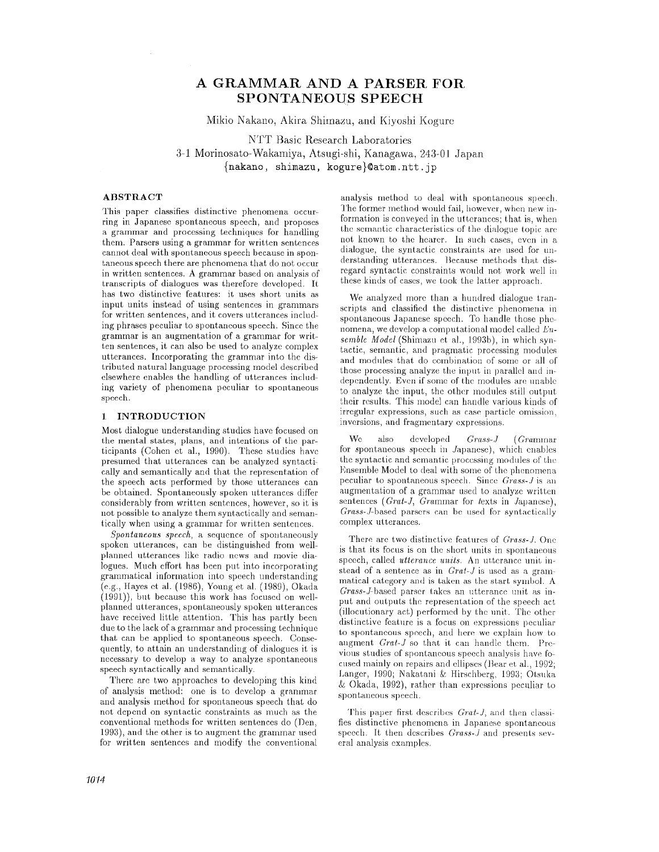# **A GRAMMAR AND A PARSER FOR SPONTANEOUS SPEECH**

**Mikio Nakano, Akira Shimazu, and Kiyoshi Kogure** 

**NTT Basic Research Laboratories 3-1 Morinosato-Wakamiya, Atsugi-shi, Kanagawa, 243-01 Japan {nakano, shiraazu, kogure}~atora.nt'c.jp** 

## **ABSTRACT**

This paper classifies distinctive phenomena occurring in Japanese spontaneous speech, and proposes a grammar and processing techniques for handling them. Parsers using a grammar for written sentences cannot deal with spontaneous speech because in spontaneous speech there are phenomena that do not occur in written sentences. A grammar based on analysis of transcripts of dialogues was therefore developed. It has two distinctive features: it uses short units as input units instead of using sentences in grammars for written sentences, and it covers utterances including phrases peculiar to spontaneous speech. Since the grammar is an augmentation of a grammar for written sentences, it can also be used to analyze complex utterances. Incorporating the grammar into the distributed natural language processing model described elsewhere enables the handling of utterances including variety of phenomena peculiar to spontaneous speech.

## 1 INTRODUCTION

Most dialogue understanding studies have focused on the mental states, plans, and intentions of the participants (Cohen et al., 1990). These studies have presumed that utterances can be analyzed syntactically and semantically and that the representation of the speech acts performed by those utterances can be obtained. Spontaneonsly spoken utterances differ considerably from written sentences, however, so it is not possible to analyze them syntactically and semantically when using a grammar for written sentences.

*Spontaneous speech,* a sequence of spontaneously spoken utterances, can be distinguished from wellplanned utterances like radio news and movie dialogues. Much effort has been put into incorporating grammatical information into speech understanding (e.g., Hayes et el. (1986), Young et al. (1989), Okada (1991)), but because this work has focused on wellplanned utterances, spontaneously spoken utterances have received little attention. This has partly been due to the lack of a grammar and processing technique that can be applied to spontaneous speech. Consequently, to attain an understanding of dialogues it is necessary to develop a way to analyze spontaneous speech syntactically and semantically.

There are two approaches to developing this kind of analysis method: one is to develop a grammar and analysis method for spontaneous speech that do not depend on syntactic constraints as much as the conventional methods for written sentences do (Den, 1993), and the other is to augment the grammar used for written sentences and modify the conventional

analysis method to deal with spontaneous speech. The former method would fail, however, when new information is conveyed in the utterances; that is, when the semantic characteristics of the dialogue topic are not known to the hearer. In such cases, even in a dialogue, the syntactic constraints are used for understanding utterances. Because methods that disregard syntactic constraints would not work well in these kinds of cases, we took the latter approach.

We analyzed more than a hundred dialogue transcripts and classified the distinctive phenomena in spontaneous Japanese speech. To handle those phenomena, we develop a computational model called *L'nsemble Model* (Shimazu et al., 1993b), in which syntactic, semantic, and pragmatic processing modules and modules that do combination of some or all of those processing analyze the input in parallel and independently. Even if some of the modules are unable to analyze the input, the other modules still output their results. This mode] can handle various kinds of irregular expressions, such as case particle omission, inversions, and fragmentary expressions.

We also developed *Grass-J (Grammar* for spontaneous speech in Japanese), which enables the syntactic and semantic processing modules of the Ensemble Model to deal with some of the phenomena peculiar to spontaneous speech. Since *Grass-J* is an augmentation of a grammar used to analyze written sentences (Grat-J, Grammar for texts in Japanese), *Crass-Y-based* parsers can be used for syntactically complex utterances.

There are two distinctive features of *Grass-J.* One is that its focus is on the short units in spontaneous speech, called *utterance units*. An utterance unit instead of a sentence as in *Gral-J* is used as a grammatical category and is taken as the start symbol. A *Grass-J-based* parser takes an utterance unit as input and outputs the representation of the speech act (illoeutionary act) performed by the unit. The other distinctive feature is a focus on expressions peculiar to spontaneous speech, and here we explain how to augment *(h'at-J* so that it can handle them. Previous studies of spontaneous speech analysis have focused mainly on repairs and ellipses (Bear et al., 1992; Langer, 1990; Nakatani & Hirschberg, 1993; Otsuka  $&$  Okada, 1992), rather than expressions peculiar to spontaneous speech.

This paper first describes *Grat-J,* and then classifies distinctive phenomena in Japanese spontaneous speech. It then describes *Grass-Y* and presents several analysis examples.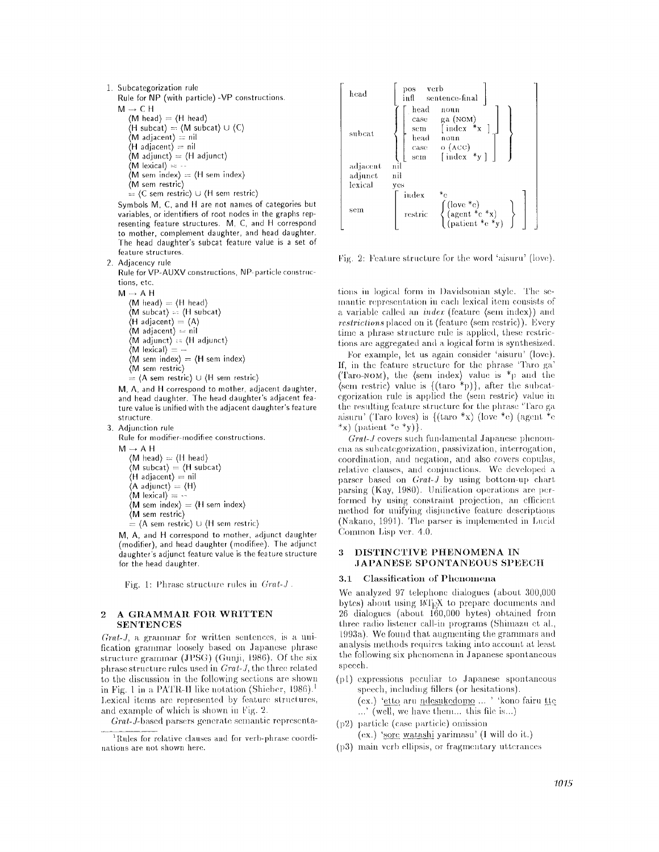- **1. Subcategorization rule Rule for NP (with particle) -VP constructions.**   $M \rightarrow C H$  $\langle M \text{ head} \rangle = \langle H \text{ head} \rangle$  $(H \text{ subcat}) = (M \text{ subcat}) \cup (C)$  $\langle M \rangle$  adjacent)  $\stackrel{\cdot}{=}$  nil **(H adjacent) =** nil  $\langle M \text{ adjunct} \rangle = \langle H \text{ adjunct} \rangle$  $(M \text{ lexical}) =$ (M **sere** index) ~ (H sere index)
	- **(M sere restric) = (C sere restric) u (H sere restric)**

Symbols M, C, and H are not names of categories but **variables, or identifiers of root nodes in the graphs representing feature structures. M, C, and H correspond**  to mother, complement daughter, and head **daughter.** 

**The head daughter's subcat feature value is a set of feature structures. 2. Adjacency rule** 

Rule for VP-AUXV constructions, NP-particle constructions, etc.

**M-+AH** 

 $\langle M \text{ head} \rangle = \langle H \text{ head} \rangle$ **(M subeat} -- (I]** subcat}  $\langle H \text{ adjacent} \rangle = \langle A \rangle$ **(M** adjacent) :- nil (M adjunct) :: (H adjunct}  $\langle M \rangle$  lexical  $\rangle =$ **(M sere index} = (H sere index) (M sem restric}** 

**i**  $\stackrel{\cdot}{=}$  (A sem restric)  $\cup$  (H sem restric)

M, A, and H correspond to mother, adjacent daughter, and head **daughter. The** head daughter's adjacent feature **value** is unified with the adjacent daughter's **feature**  structure

**3. Adjunction rule** 

**Rule for modifier modifiee constructions.** 

**M~AH**   $\langle M \text{ head} \rangle = \langle H \text{ head} \rangle$ **(M subcat) = (H subcat) (H adjacent) =** nil  $\langle$ A adjunct $\rangle = \langle$ H $\rangle$  $\langle$ **M** lexical)  $=$   $\langle$  $\langle M \text{ sem index} \rangle = \langle H \text{ sem index} \rangle$ **(M sere restric) = (A sem restric) U (H sem restric)** 

M, A, and H correspond to mother, adjunct daughter (modifier), and head daughter (modifiee). The adjunct **daughter's adjunct feature value is the feature structure for the head daughter.** 

Fig. 1: Phrase structure rules in  $Grat-J$ .

## 2 A GRAMMAR FOR WRITTEN **SENTENCES**

*Grat-J*, a grammar for written sentences, is a unification grammar loosely based on Japanese phrase structure grammar (JPSG) (Gunji, 1986). Of the six phrase structure rules used in *Gral-J,* the three related to the discussion in the following sections are shown in Fig. 1 in a PATR-II like notation (Shieber,  $1986$ ).<sup>1</sup> Lexical items are represented by feature structures, and example of which is shown in Fig. 2.

*Grat-J-based parsers generate semantic representa-*



Fig. 2: Feature strueture for the word 'aisuru' (low.).

tions in logical form in Davidsonian style. The semantic representation in each lexical item consists of a variable called an *index* (feature (sem index)) and *restrictions* placed on it (feature (sem restric)). Every time a phrase structure rule is applied, these restrictions are aggregated and a logical form is synthesized.

For example, let us again consider 'aisuru' (love). If, in the feature structure for the phrase 'Taro ga' (Taro-NOM), the (sem index) value is  $*_{p}$  and the (sem restric) value is  $\{(\text{taro}^{-*p})\}$ , after the subcategorization rule is applied the (sem restric) value in the resulting feature structure for the phrase "Taro ga aisuru' (Taro loves) is  $\{(tar\sigma *x)$  (love \*e) (agent \*e \*x) (patient  $*$ e  $*$ y).

*Grat-J* covers such fundamental Japanese phenomena as subcategorization, passivization, interrogation, coordination= and negation, and also covers copulas, relative clauses, and conjunctions. We developed a parser based on *Grat-J* by using bottom-up chart parsing (Kay, 1980). Unification operations are performed by using constraint projection, an efficient method for unifying disjunctive feature descriptions (Nakano, 1991). The parser is implemented in Lucid Common Lisp ver. 4.0.

## **3 DISTINCTIVE PHENOMENA IN ,IAPANESE SPONTANEOUS** SPEECtI

### 3.1 Classification of Phenomena

We analyzed 97 telephone dialogues (about 300,000 bytes) about using  $M_{\rm E}X$  to prepare documents and  $26$  dialogues (about  $160,000$  bytes) obtained from three radio listener call-in programs (Shimazu et al., 1993a). We found that augmenting the grammars and analysis methods requires taking into account at least the following six phenomena in Japanese spontaneous speech.

- $(p1)$  expressions peculiar to Japanese spontaneous speech, including fillers (or hesitations). (ex.) 'etto aru ndesukedomo ... ' 'kono fairu tte  $\ldots$ ' (well, we have them... this file is...)  $(p2)$  particle (case particle) omission
	- (ex.) 'sore watashi yarimasu' (I will do it.)
- $(p3)$  main verb ellipsis, or fragmentary utterances

 $1$ Rules for relative clauses and for verb-phrase coordinations are not shown here.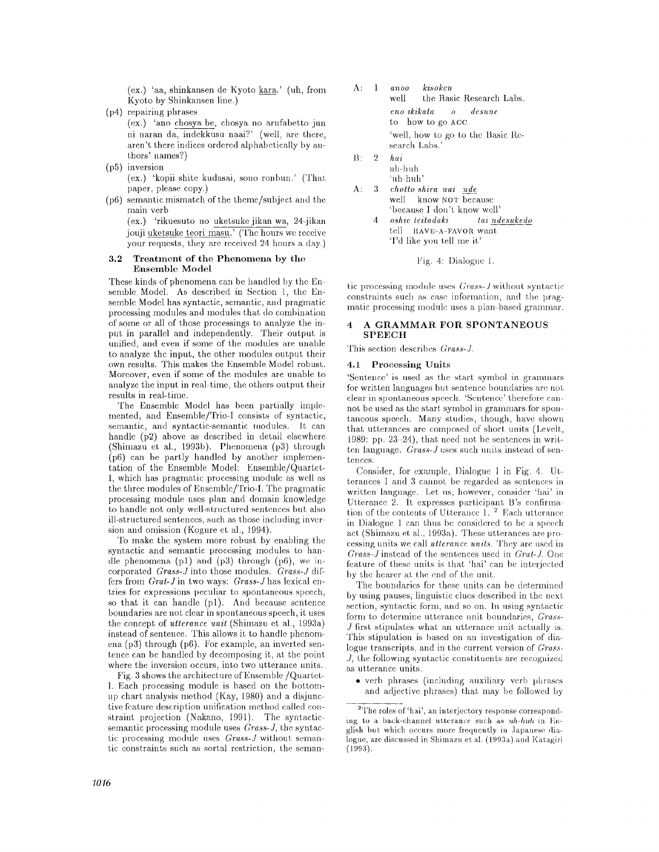(ex.) 'aa, shinkansen de Kyoto kara.' (uh, from Kyoto by Shinkansen line.)

(p4) repairing phrases

(ex.) 'ano chosya be, chosya no arufabetto jun ni naran da, indekkusu naai?' (well, are there, aren't there indices ordered alphabetically by authors' names?)

**(p5)** inversion

(ex.) 'kopii shire kudasai, sono ronbun.' (That paper, please copy.)

(p6) semantic mismatch of the theme/subject and the main verb

(ex.) 'rikuesuto no uketsuke jikan wa, 24-jikan jonji uketsuke teori masu.' (The hours we receive your requests, they are received 24 hours a day.)

#### 3.2 Treatment of the Phenomena by the **Ensemble Model**

These kinds of phenomena can be handled by the Ensemble Model. As described in Section 1, the Ensemble Model has syntactic, semantic, and pragmatic processing modnles and modules that; do combination of some or all of those proeessings to analyze the input in parallel and independently. Their output is unified, and even if some of the modules are unable to analyze the input, the other modules output their own resnlts. This makes the Ensemble Model robust. Moreover, even if some of the modules are unable to analyze the input in real-time, the others output their results in real-time.

The Ensemble Model has been partially implemented, and Ensemble/Trio-I consists of syntactic, semantic, and syntactic-semantic modules. It can handle (p2) above as described in detail elsewhere (Shimazu et al., 1993b). Phenomena (p3) through (p6) can be partly handled by another implementation of the Ensemble Model: Ensemble/Quartet-1, which has pragmatic processing modnle as well as the three modules of Ensemble/Trio-I. The pragmatic processing module uses plan and domain knowledge to handle not only well-structured sentences bnt also ill-structured sentences, such as those including inver sion and omission (Kogure et al., 1994).

To make the system more robust by enabling the syntactic and semantic processing modules to handle phenomena (pl) and (p3) through (p6), we incorporated *Grass-g* into those modnles. *Grass-J* differs from *Grat-J* in two ways: *Grass-J* has lexical entries for expressions peculiar to spontaneous speech, so that it can handle (pl). And because sentence boundaries are not clear in spontaneous speech, it uses the concept of *utterance unit* (Shimazu et al., 1993a) instead of sentence. This allows it to handle phenomena (p3) through (p6). For example, an inverted sentence can be handled by decomposing it, at the point where the inversion occurs, into two utterance units.

Fig. 3 shows the architecture of Ensemble /Quartet-I. Each processing module is based on the bottomup chart analysis method (Kay, 1980) and a disjunctive feature description unification method ealled constraint projection (Nakano, 1991). The syntacticsemantic processing module uses *Grass-J,* the syntactic processing module uses *Grass-J* without semantic constraints such as sortal restriction, the seman-

| $\Lambda$ : 1 | anoo kisoken<br>well the Basic Research Labs.      |
|---------------|----------------------------------------------------|
|               | eno ikikata yoo desune<br>to how to go ACC         |
|               | 'well, how to go to the Basic Re-<br>search Labs.' |
|               | $\mathbf{D}$ of $\mathbf{L}$                       |

- B: 2 *hal*  nh-h uh :1111-}1/111'
- A: 3 *chotto shira nai* nde well know NOT because %ecause l don't know well'
	- *4 oshie teitadaki tai ndesukedo*  tell HAVE-A-FAVOR want 'I'd like you tell me it'

Fig. 4: Dialogue I.

tic processing module uses *Grass-J* without syntactic constraints such as case information, and the pragmatic processing module uses a plan-based grammar.

#### **4 A GRAMMAR, FOR SPONTANEOUS SPEECH**

'['his section describes *Grass-Z* 

### **4.1 Processing Units**

'Sentence' is used as the start symbol in granunars for written languages but sentence boundaries are not clear in spontaneous speech. 'Sentence' therefore cannot be used as the start symbol in grammars for spontaneous speech. Many studies, though, have shown that utterances are composed of short units (Levelt, 1989: pp.  $23-24$ , that need not be sentences in written language. *Grass-3* uses such units instead of sentences.

Consider, for example, Dialogue 1 in Fig. 4. Utterances 1 and 3 cannot be regarded as sentences in written language. Let us, however, consider 'hal' in Utterance 2. It expresses participant B's confirmation of the contents of Utterance 1. 2 Each utterance in Dialogue 1 can thus be considered to be a speech act (Shimazu et al., 1993a). These utterances are pro- cessing units we call *utterance units*. They are used in *Grass-J instead* of the sentences used in *Grat-J.* One feature of these units is that 'hai' can be interjected by the hearer at the end of the unit.

The boundaries for these units can be determined by using pauses, linguistic clues described in the next section, syntactic form, and so on. In using syntactic form to determine utterance unit boundaries, *Grass-*J first stipulates what an utterance unit actually is. This stipulation is based on an investigation of dialogue transcripts, and in the current version of *Grass- .],* the following syntactic constituents are recognized as utterance units.

• verb phrases (including auxiliary verb phrases and adjective phrases) that may be followed by

<sup>&</sup>lt;sup>2</sup>The roles of 'hai', an interjectory response corresponding to a back-channel utterance such as uh-huh in English but which occurs more frequently in Japanese dialogue, are discussed in Shimazu et al. (1993a) and Katagiri (1993).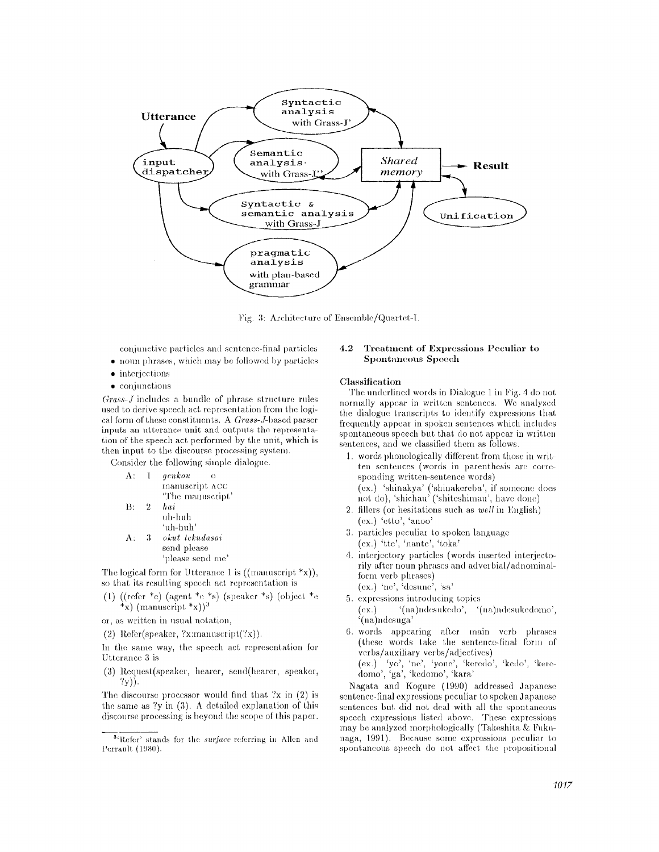

Fig. 3: Architecture of Ensemble/Quartet-I.

conjunctive particles and sentence-final particles

- noun phrases, which may be followed by particles
- $\bullet$  interjections
- conjunctions

 $Grass-J$  includes a bundle of phrase structure rules used to derive speech act representation from the logical form of these constituents. A Grass-J-based parser inputs an utterance unit and outputs the representation of the speech act performed by the unit, which is then input to the discourse processing system.

Consider the following simple dialogue.

| Λ: | Ι.             | qenkou<br>$\Omega$ |
|----|----------------|--------------------|
|    |                | manuscript ACC     |
|    |                | "The manuscript"   |
| B: | $\overline{2}$ | hai                |
|    |                | uh-huh             |
|    |                | ʻuh-huh'           |
| Λ. | З              | okut tekudasai     |
|    |                | send please        |

'please send me'

The logical form for Utterance 1 is  $((\text{manuscript} * x))$ , so that its resulting speech act representation is

- (1) ((refer \*e) (agent \*e \*s) (speaker \*s) (object \*e \*x) (manuscript \*x))<sup>3</sup>
- or, as written in usual notation,
- (2) Refer(speaker, ?x;manuscript(?x)).

In the same way, the speech act representation for Utterance 3 is

(3) Request(speaker, hearer, send(hearer, speaker,  $?y)$ ).

The discourse processor would find that  $2x$  in  $(2)$  is the same as  $?y$  in  $(3)$ . A detailed explanation of this discourse processing is beyond the scope of this paper.

#### Treatment of Expressions Peculiar to  $4.2$ Spontaneous Speech

## Classification

The underlined words in Dialogue 1 in Fig. 4 do not normally appear in written sentences. We analyzed the dialogue transcripts to identify expressions that frequently appear in spoken sentences which includes spontaneous speech but that do not appear in written sentences, and we classified them as follows.

- 1. words phonologically different from those in written sentences (words in parenthesis are corresponding written-sentence words) (ex.) 'shinakya' ('shinakereba', if someone does not do), 'shichau' ('shiteshimau', have done)
- 2. fillers (or hesitations such as well in English) (ex.) 'etto', 'anoo'
- 3. particles peculiar to spoken language (ex.) 'tte', 'nante', 'toka'
- 4. interjectory particles (words inserted interjectorily after noun phrases and adverbial/adnominalform verb phrases)  $(ex.)$  'ne', 'desune', 'sa'
- 5. expressions introducing topics
- '(na)ndesukedo', '(na)ndesukedomo',  $(ex.)$ (na)ndesuga'
- 6. words appearing after main verb phrases (these words take the sentence-final form of verbs/auxiliary verbs/adjectives)

(ex.) 'yo', 'ne', 'yone', 'keredo', 'kedo', 'keredomo', 'ga', 'kedomo', 'kara'

Nagata and Kogure (1990) addressed Japanese sentence-final expressions peculiar to spoken Japanese sentences but did not deal with all the spontaneous speech expressions listed above. These expressions may be analyzed morphologically (Takeshita & Fukunaga, 1991). Because some expressions peculiar to spontaneous speech do not affect the propositional

<sup>&</sup>lt;sup>3</sup><sup>(Refer' stands for the *surface* referring in Allen and</sup> Perrault (1980).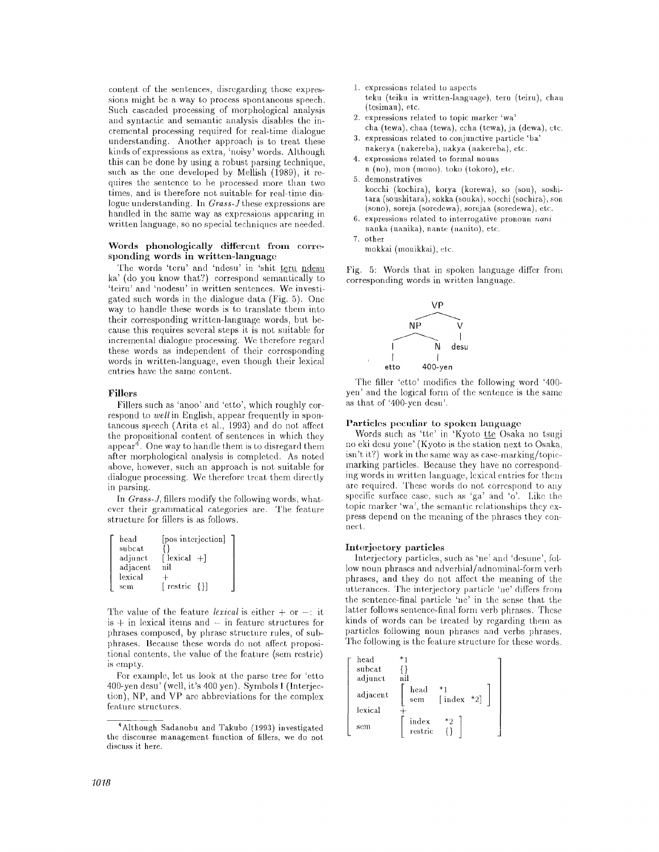content of the sentences, disregarding those expressions might be a way to process spontaneous speech. Such cascaded processing of morphological analysis and syntactic and semantic analysis disables the incremental processing required for real-time dialogue understanding. Another approach is to treat these kinds of expressions as extra, 'noisy' words. Although this can be done by using a robust parsing technique, such as the one developed by Mellish (1989), it requires the sentence to be processed more than two times, and is therefore not suitable for real-time dialogue understanding. In *Grass-J* these expressions are handled in the same way as expressions appearing in written language, so no special techniques are needed.

#### Words phonologically different from corresponding **words in written-language**

The words 'teru' and 'ndesu' in 'shit teru ndesu ka' (do you know that?) correspond semantically to 'teirn' and 'nodesu' in written sentences. We investigated such words in the dialogue data (Fig. 5). One way to handle these words is to translate them into their corresponding written-language words, but because this requires several steps it is not suitable for incremental dialogue processing. We therefore regard these words as independent of their corresponding words in written-language, even though their lexical entries have the same content.

## Fillers

Fillers such as 'anoo' and 'etto', which roughly correspond to *well* in English, appear frequently in spontaneous speech (Arita et al., 1993) and do not affect the propositional content of sentences in which they appear<sup>4</sup>. One way to handle them is to disregard them after morphological analysis is completed. As noted above, however, such an approach is not suitable for dialogue processing. We therefore treat them directly in parsing.

In *Grass-J,* fillers modify the following words, whatever their grammatical categories are. The feature structure for fillers is as follows.

| head     | [pos interjection]      |  |
|----------|-------------------------|--|
| subcat   |                         |  |
| adjunct  | [ lexical -+]           |  |
| adjacent | nil                     |  |
| lexical  |                         |  |
| sem      | [ $\text{restrict}$ {}] |  |

The value of the feature *lexical* is either  $+$  or  $-$ : it  $is + in$  lexical items and  $-$  in feature structures for phrases composed, by phrase structure rules, of subphrases. Because these words do not affect propositional contents, the value of the feature (sem restric) is empty.

For example, let us look at the parse tree for 'etto 400-yen desu' (well, it's 400 yen). Symbols I (Interjection), NP, and VP are abbreviations for the complex feature structures.

- [. expressions related to aspects
- teku (teiku in written-language), teru (teiru), chau (tesimau), etc.
- 2. expressions related to topic marker 'wa' cha (tewa), chaa (tewa), ccha (tewa), ja (dewa), etc.
- 3. expressions related to conjnnetive particle 'ha' nakerya (nakereba), nakya (nakereba), etc.
- 4. expressions related to formal nouns
- n (no), mon (mono), toko (tokoro), etc.
- 5. demonstratives kocchi (kochira), korya (korewa), so (son), soshitara (soushitara), sokka (souka), socchi (sochira), son (sono), soreja (soredewa), sorejaa (soredewa), etc.
- 6. expressions related to interrogative pronoun *nani*  nanka (nanika), nante (nanito), etc.
- 7. other
	- mokkai (mouikkai), etc.

Fig. 5: Words that in spoken language differ from corresponding words in written language.



'Phe filler 'etto' modifies the following word '400 yen' and the logical form of the sentence is the same as that of '400-yen desn'.

#### Particles peculiar to spoken language

Words such as 'tte' in 'Kyoto tte Osaka no tsugi no eki desu yone' (Kyoto is the station next to Osaka,  $isn't it?$  work in the same way as case-marking/topicmarking particles. Because they have no corresponding words in written language, lexical entries for then, are required. These words do not correspond to any specific surface case, such as 'ga' and 'o'. Like the topic marker 'wa', the semantic relationships they express depend on the meaning of the phrases they connect.

#### Interjectory particles

Interjectory particles, such as 'ne' and 'desune', follow noun phrases and adverbial/adnominal-form verb phrases, and they do not affect the meaning of the utterances. The interjectory particle 'ne' differs from the sentence-final particle 'ne' in the sense that the latter follows sentence-final form verb phrases. These kinds of words can be treated by regarding them as particles Ibllowing noun phrases and verbs phrases. The following is the feature structure for these words.

| head     |                  |        |     |  |
|----------|------------------|--------|-----|--|
| subcat   |                  |        |     |  |
| adjunct  | nil              |        |     |  |
| adjacent | head<br>sem      | [index | *2] |  |
| lexical  |                  |        |     |  |
| sem      | index<br>restric | $^*2$  |     |  |

<sup>&</sup>lt;sup>4</sup> Although Sadanobu and Takubo (1993) investigated the discourse management function of fillers, we do not discuss it here.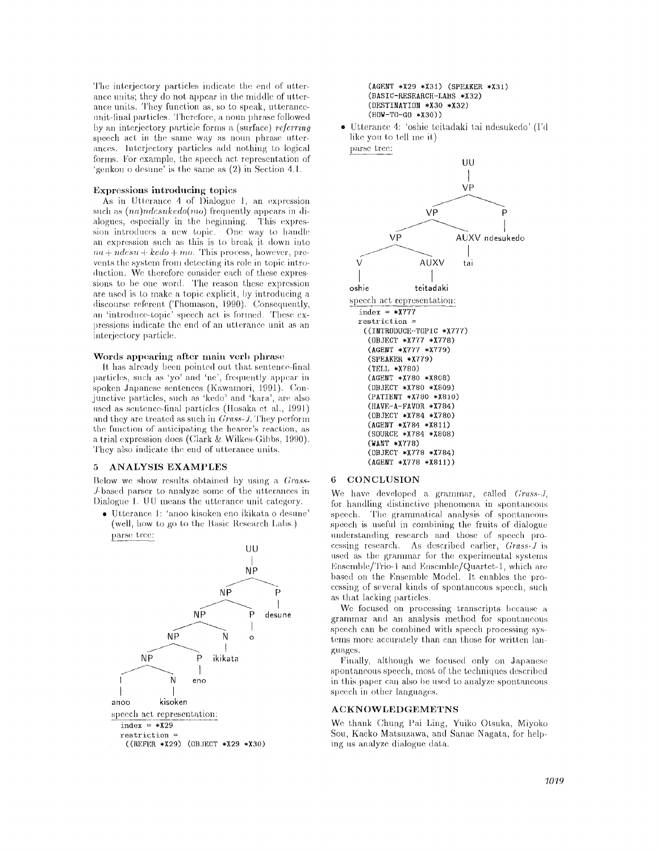The interjectory particles indicate the end of utterance units; they do not appear in the middle of utterance units. They function as, so to speak, utteranceunit-final particles. Therefore, a noun phrase followed by an interjectory particle forms a (surface) *referring*  speech act in the same. way as noun phrase utterances. Interjectory particles add nothing to logical forms. For example, the speech act representation of 'genkou o desune' ix the. same as (2) in Section 4.l.

#### Expressions introducing topics

As in Utterance 4 of Dialogue 1, an expression  $such$  *as*  $(na)ndesuke do(mo)$  *frequently appears in di*alogues, especially in the beginning. This expression introduces a new topic. One way to handle an expression such as this is to break it. down into  $na + n$ *desu* +  $kedo + mo$ . This process, however, prevents the system from detecting its role in topic introduction. We therefore consider each of these expressions to be one word. 'l'he reason these expression are used is to make a topie explicit, by introdncing a discourse referent ('Phomason, 1990). Consequently, an 'introduce-topic' speech act is formed. These expressions indicate the end of an utterance unit as an interjectory particle.

### Words appearing after main verb phrase

It has already been pointed out that sentence-final particles, such as 'yo' and 'ne', frequently appear in spoken Japanese sentences (Kawamori, 1991). Conjunctive particles, such as 'kedo' and 'kara', are also used as sentence-final particles (Hosaka et al., 1991) and they are treated as such in *Grass-J.* They perform the function of anticipating the heater's reaction, as a trial expression does (Clark & Wilkes-Gibbs, 1990). They also indicate the end of utterance units.

#### **5 ANALYSIS EXAMPLES**

Below we show results obtained by using a *Grass-*J-based parser to analyze some of the utterances in Dialogue 1. UU means the utterance unit category.

® Utterance I: 'anoo kisoken eno ikikata o desune' (well, how to go to the Basic Research Labs.) parse tree:



#### **(AGENT \*X29 \*X31) (SPEAKER \*X31) (BASIC-RESEARCH-LABS \*X32) (DESTINATION \*X30 \*X32) (HOW-TO-GO \*X30) )**

• Utterance 4: 'oshie teitadaki tai ndesukedo' (I'd like you to tell me it)

parse tree:



#### 6 CONCLUSION

We have developed a grammar, called *Grass-J*, for handling distinctive phenomena in spontaneous speech. The grammatical analysis of spontaneous speech is useful in combining the fruits of dialogue understanding research and those of speech processing research. As described earlier, *Grass-J* is used as the grammar for the experimental systems Ensemble/Trio-1 and Ensemble/Quartet-1, which are based on the Ensemble Model. It enables the processing of several kinds of spontaneons speech, such as that lacking particles.

We focused on processing transcripts because a grammar and an analysis method for spontaneons speech can be combined with speech processing systems more accurately than can those for written languages.

Finally, although we focused only on Japanese. spontaneous speech, most of the techniques described in this paper can also be used to analyze spontaneous speech in other languages.

#### **ACKNOWLEDGEMETNS**

We thank Chung Pai Ling, Yuiko Otsuka, Miyoko Sou, Kaeko Matsuzawa, and Sanae Nagata, for helping us analyze dialogue data.